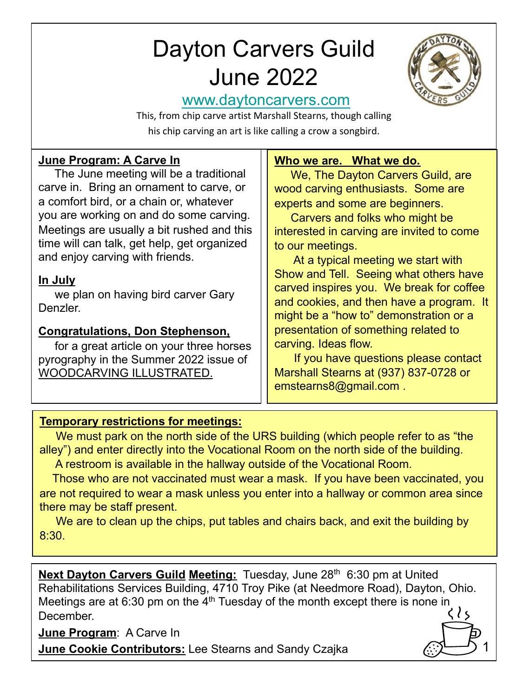# D[ayton Carvers Gu](http://www.daytoncarvers.com/)ild June 2022



1

## www.daytoncarvers.com

This, from chip carve artist Marshall Stearns, though calling his chip carving an art is like calling a crow a songbird.

#### **June Program: A Carve In**

The June meeting will be a traditional carve in. Bring an ornament to carve, or a comfort bird, or a chain or, whatever you are working on and do some carving. Meetings are usually a bit rushed and this time will can talk, get help, get organized and enjoy carving with friends.

#### **In July**

we plan on having bird carver Gary Denzler.

## **Congratulations, Don Stephenson,**

for a great article on your three horses pyrography in the Summer 2022 issue of WOODCARVING ILLUSTRATED.

#### **Who we are. What we do.**

We, The Dayton Carvers Guild, are wood carving enthusiasts. Some are experts and some are beginners.

Carvers and folks who might be interested in carving are invited to come to our meetings.

At a typical meeting we start with Show and Tell. Seeing what others have carved inspires you. We break for coffee and cookies, and then have a program. It might be a "how to" demonstration or a presentation of something related to carving. Ideas flow.

If you have questions please contact Marshall Stearns at (937) 837-0728 or emstearns8@gmail.com .

## **Temporary restrictions for meetings:**

We must park on the north side of the URS building (which people refer to as "the alley") and enter directly into the Vocational Room on the north side of the building.

A restroom is available in the hallway outside of the Vocational Room.

Those who are not vaccinated must wear a mask. If you have been vaccinated, you are not required to wear a mask unless you enter into a hallway or common area since there may be staff present.

We are to clean up the chips, put tables and chairs back, and exit the building by 8:30.

**Next Dayton Carvers Guild Meeting:** Tuesday, June 28<sup>th</sup> 6:30 pm at United Rehabilitations Services Building, 4710 Troy Pike (at Needmore Road), Dayton, Ohio. Meetings are at 6:30 pm on the  $4<sup>th</sup>$  Tuesday of the month except there is none in December.

**June Program**: A Carve In

**June Cookie Contributors:** Lee Stearns and Sandy Czajka